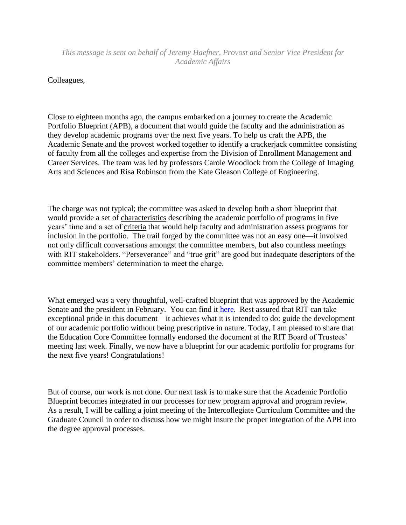*This message is sent on behalf of Jeremy Haefner, Provost and Senior Vice President for Academic Affairs*

Colleagues,

Close to eighteen months ago, the campus embarked on a journey to create the Academic Portfolio Blueprint (APB), a document that would guide the faculty and the administration as they develop academic programs over the next five years. To help us craft the APB, the Academic Senate and the provost worked together to identify a crackerjack committee consisting of faculty from all the colleges and expertise from the Division of Enrollment Management and Career Services. The team was led by professors Carole Woodlock from the College of Imaging Arts and Sciences and Risa Robinson from the Kate Gleason College of Engineering.

The charge was not typical; the committee was asked to develop both a short blueprint that would provide a set of characteristics describing the academic portfolio of programs in five years' time and a set of criteria that would help faculty and administration assess programs for inclusion in the portfolio. The trail forged by the committee was not an easy one—it involved not only difficult conversations amongst the committee members, but also countless meetings with RIT stakeholders. "Perseverance" and "true grit" are good but inadequate descriptors of the committee members' determination to meet the charge.

What emerged was a very thoughtful, well-crafted blueprint that was approved by the Academic Senate and the president in February. You can find it [here.](https://www.rit.edu/provost/sites/rit.edu.provost/files/apb_final_report_senate_02_14.pdf) Rest assured that RIT can take exceptional pride in this document – it achieves what it is intended to do: guide the development of our academic portfolio without being prescriptive in nature. Today, I am pleased to share that the Education Core Committee formally endorsed the document at the RIT Board of Trustees' meeting last week. Finally, we now have a blueprint for our academic portfolio for programs for the next five years! Congratulations!

But of course, our work is not done. Our next task is to make sure that the Academic Portfolio Blueprint becomes integrated in our processes for new program approval and program review. As a result, I will be calling a joint meeting of the Intercollegiate Curriculum Committee and the Graduate Council in order to discuss how we might insure the proper integration of the APB into the degree approval processes.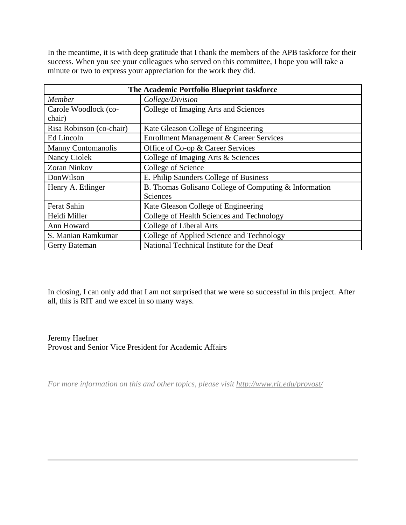In the meantime, it is with deep gratitude that I thank the members of the APB taskforce for their success. When you see your colleagues who served on this committee, I hope you will take a minute or two to express your appreciation for the work they did.

| The Academic Portfolio Blueprint taskforce |                                                       |
|--------------------------------------------|-------------------------------------------------------|
| Member                                     | College/Division                                      |
| Carole Woodlock (co-                       | College of Imaging Arts and Sciences                  |
| chair)                                     |                                                       |
| Risa Robinson (co-chair)                   | Kate Gleason College of Engineering                   |
| Ed Lincoln                                 | Enrollment Management & Career Services               |
| <b>Manny Contomanolis</b>                  | Office of Co-op & Career Services                     |
| Nancy Ciolek                               | College of Imaging Arts & Sciences                    |
| Zoran Ninkov                               | College of Science                                    |
| DonWilson                                  | E. Philip Saunders College of Business                |
| Henry A. Etlinger                          | B. Thomas Golisano College of Computing & Information |
|                                            | Sciences                                              |
| Ferat Sahin                                | Kate Gleason College of Engineering                   |
| Heidi Miller                               | College of Health Sciences and Technology             |
| Ann Howard                                 | College of Liberal Arts                               |
| S. Manian Ramkumar                         | College of Applied Science and Technology             |
| Gerry Bateman                              | National Technical Institute for the Deaf             |

In closing, I can only add that I am not surprised that we were so successful in this project. After all, this is RIT and we excel in so many ways.

## Jeremy Haefner Provost and Senior Vice President for Academic Affairs

*For more information on this and other topics, please visit<http://www.rit.edu/provost/>*